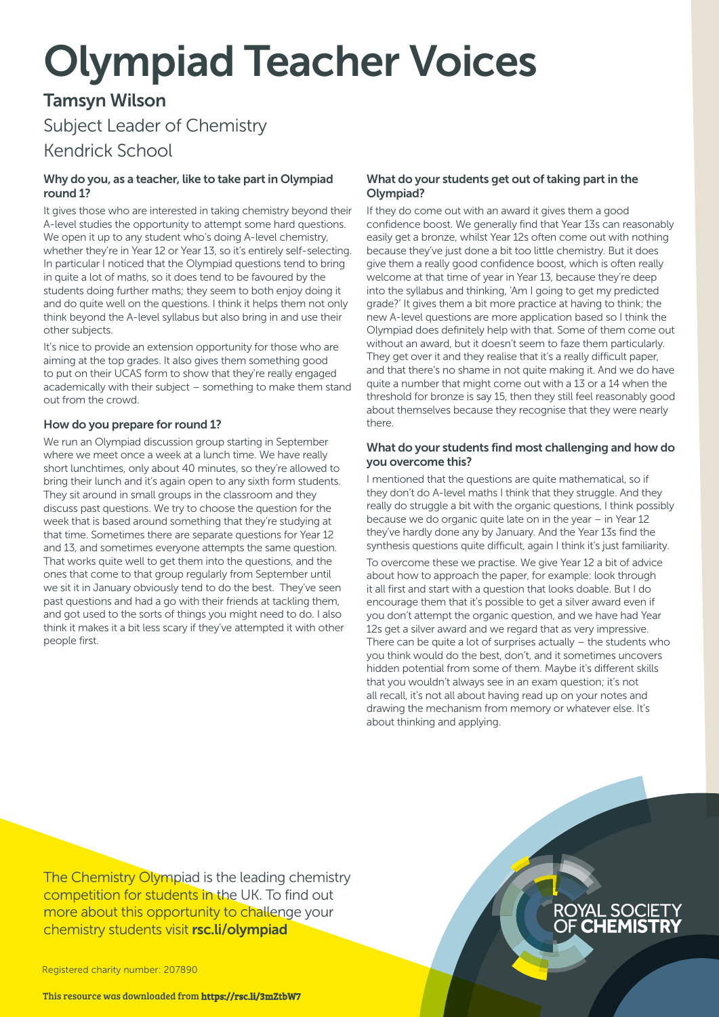# Olympiad Teacher Voices

# Tamsyn Wilson

Subject Leader of Chemistry

# Kendrick School

#### Why do you, as a teacher, like to take part in Olympiad round 1?

It gives those who are interested in taking chemistry beyond their A-level studies the opportunity to attempt some hard questions. We open it up to any student who's doing A-level chemistry, whether they're in Year 12 or Year 13, so it's entirely self-selecting. In particular I noticed that the Olympiad questions tend to bring in quite a lot of maths, so it does tend to be favoured by the students doing further maths; they seem to both enjoy doing it and do quite well on the questions. I think it helps them not only think beyond the A-level syllabus but also bring in and use their other subjects.

It's nice to provide an extension opportunity for those who are aiming at the top grades. It also gives them something good to put on their UCAS form to show that they're really engaged academically with their subject – something to make them stand out from the crowd.

## How do you prepare for round 1?

We run an Olympiad discussion group starting in September where we meet once a week at a lunch time. We have really short lunchtimes, only about 40 minutes, so they're allowed to bring their lunch and it's again open to any sixth form students. They sit around in small groups in the classroom and they discuss past questions. We try to choose the question for the week that is based around something that they're studying at that time. Sometimes there are separate questions for Year 12 and 13, and sometimes everyone attempts the same question. That works quite well to get them into the questions, and the ones that come to that group regularly from September until we sit it in January obviously tend to do the best. They've seen past questions and had a go with their friends at tackling them, and got used to the sorts of things you might need to do. I also think it makes it a bit less scary if they've attempted it with other people first.

### What do your students get out of taking part in the Olympiad?

If they do come out with an award it gives them a good confidence boost. We generally find that Year 13s can reasonably easily get a bronze, whilst Year 12s often come out with nothing because they've just done a bit too little chemistry. But it does give them a really good confidence boost, which is often really welcome at that time of year in Year 13, because they're deep into the syllabus and thinking, 'Am I going to get my predicted grade?' It gives them a bit more practice at having to think; the new A-level questions are more application based so I think the Olympiad does definitely help with that. Some of them come out without an award, but it doesn't seem to faze them particularly. They get over it and they realise that it's a really difficult paper, and that there's no shame in not quite making it. And we do have quite a number that might come out with a 13 or a 14 when the threshold for bronze is say 15, then they still feel reasonably good about themselves because they recognise that they were nearly there.

#### What do your students find most challenging and how do you overcome this?

I mentioned that the questions are quite mathematical, so if they don't do A-level maths I think that they struggle. And they really do struggle a bit with the organic questions, I think possibly because we do organic quite late on in the year – in Year 12 they've hardly done any by January. And the Year 13s find the synthesis questions quite difficult, again I think it's just familiarity. To overcome these we practise. We give Year 12 a bit of advice about how to approach the paper, for example: look through it all first and start with a question that looks doable. But I do encourage them that it's possible to get a silver award even if you don't attempt the organic question, and we have had Year 12s get a silver award and we regard that as very impressive. There can be quite a lot of surprises actually – the students who you think would do the best, don't, and it sometimes uncovers hidden potential from some of them. Maybe it's different skills that you wouldn't always see in an exam question; it's not all recall, it's not all about having read up on your notes and drawing the mechanism from memory or whatever else. It's about thinking and applying.

The Chemistry Olympiad is the leading chemistry competition for students in the UK. To find out more about this opportunity to challenge your chemistry students visit [rsc.li/olympiad](http://www.rsc.org/campaigning-outreach/outreach/educators/uk-chemistry-olympiad/)

Registered charity number: 207890